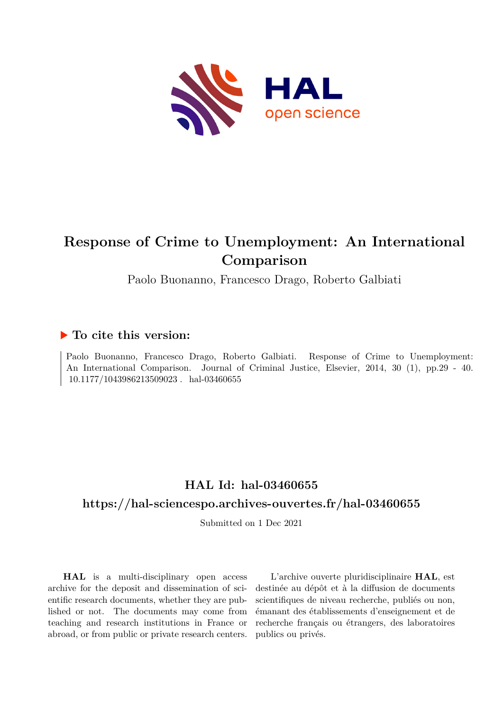

# **Response of Crime to Unemployment: An International Comparison**

Paolo Buonanno, Francesco Drago, Roberto Galbiati

# **To cite this version:**

Paolo Buonanno, Francesco Drago, Roberto Galbiati. Response of Crime to Unemployment: An International Comparison. Journal of Criminal Justice, Elsevier, 2014, 30 (1), pp.29 - 40.  $10.1177/1043986213509023$ . hal-03460655

# **HAL Id: hal-03460655**

# **<https://hal-sciencespo.archives-ouvertes.fr/hal-03460655>**

Submitted on 1 Dec 2021

**HAL** is a multi-disciplinary open access archive for the deposit and dissemination of scientific research documents, whether they are published or not. The documents may come from teaching and research institutions in France or abroad, or from public or private research centers.

L'archive ouverte pluridisciplinaire **HAL**, est destinée au dépôt et à la diffusion de documents scientifiques de niveau recherche, publiés ou non, émanant des établissements d'enseignement et de recherche français ou étrangers, des laboratoires publics ou privés.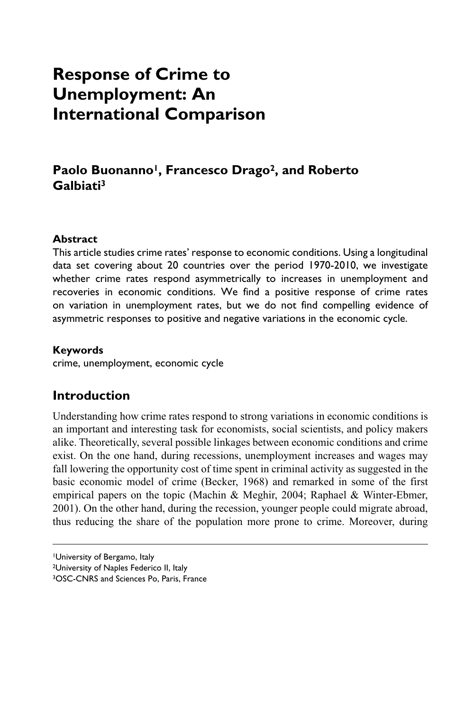# **Response of Crime to Unemployment: An International Comparison**

# Paolo Buonanno<sup>1</sup>, Francesco Drago<sup>2</sup>, and Roberto **Galbiati3**

## **Abstract**

This article studies crime rates' response to economic conditions. Using a longitudinal data set covering about 20 countries over the period 1970-2010, we investigate whether crime rates respond asymmetrically to increases in unemployment and recoveries in economic conditions. We find a positive response of crime rates on variation in unemployment rates, but we do not find compelling evidence of asymmetric responses to positive and negative variations in the economic cycle.

#### **Keywords**

crime, unemployment, economic cycle

# **Introduction**

Understanding how crime rates respond to strong variations in economic conditions is an important and interesting task for economists, social scientists, and policy makers alike. Theoretically, several possible linkages between economic conditions and crime exist. On the one hand, during recessions, unemployment increases and wages may fall lowering the opportunity cost of time spent in criminal activity as suggested in the basic economic model of crime (Becker, 1968) and remarked in some of the first empirical papers on the topic (Machin & Meghir, 2004; Raphael & Winter-Ebmer, 2001). On the other hand, during the recession, younger people could migrate abroad, thus reducing the share of the population more prone to crime. Moreover, during

<sup>1</sup>University of Bergamo, Italy 2University of Naples Federico II, Italy 3OSC-CNRS and Sciences Po, Paris, France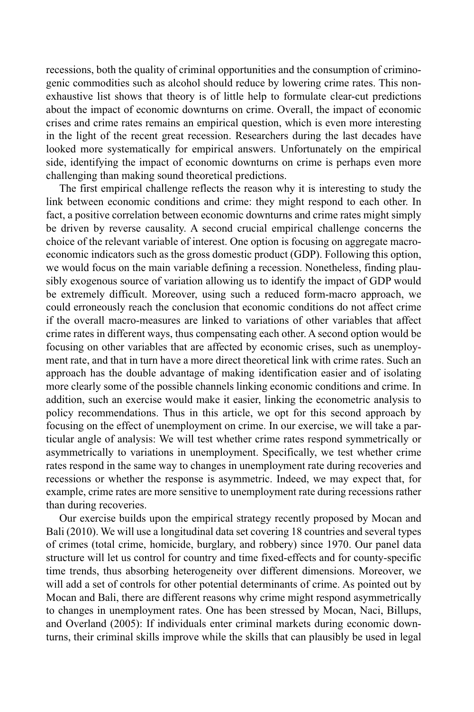recessions, both the quality of criminal opportunities and the consumption of criminogenic commodities such as alcohol should reduce by lowering crime rates. This nonexhaustive list shows that theory is of little help to formulate clear-cut predictions about the impact of economic downturns on crime. Overall, the impact of economic crises and crime rates remains an empirical question, which is even more interesting in the light of the recent great recession. Researchers during the last decades have looked more systematically for empirical answers. Unfortunately on the empirical side, identifying the impact of economic downturns on crime is perhaps even more challenging than making sound theoretical predictions.

The first empirical challenge reflects the reason why it is interesting to study the link between economic conditions and crime: they might respond to each other. In fact, a positive correlation between economic downturns and crime rates might simply be driven by reverse causality. A second crucial empirical challenge concerns the choice of the relevant variable of interest. One option is focusing on aggregate macroeconomic indicators such as the gross domestic product (GDP). Following this option, we would focus on the main variable defining a recession. Nonetheless, finding plausibly exogenous source of variation allowing us to identify the impact of GDP would be extremely difficult. Moreover, using such a reduced form-macro approach, we could erroneously reach the conclusion that economic conditions do not affect crime if the overall macro-measures are linked to variations of other variables that affect crime rates in different ways, thus compensating each other. A second option would be focusing on other variables that are affected by economic crises, such as unemployment rate, and that in turn have a more direct theoretical link with crime rates. Such an approach has the double advantage of making identification easier and of isolating more clearly some of the possible channels linking economic conditions and crime. In addition, such an exercise would make it easier, linking the econometric analysis to policy recommendations. Thus in this article, we opt for this second approach by focusing on the effect of unemployment on crime. In our exercise, we will take a particular angle of analysis: We will test whether crime rates respond symmetrically or asymmetrically to variations in unemployment. Specifically, we test whether crime rates respond in the same way to changes in unemployment rate during recoveries and recessions or whether the response is asymmetric. Indeed, we may expect that, for example, crime rates are more sensitive to unemployment rate during recessions rather than during recoveries.

Our exercise builds upon the empirical strategy recently proposed by Mocan and Bali (2010). We will use a longitudinal data set covering 18 countries and several types of crimes (total crime, homicide, burglary, and robbery) since 1970. Our panel data structure will let us control for country and time fixed-effects and for county-specific time trends, thus absorbing heterogeneity over different dimensions. Moreover, we will add a set of controls for other potential determinants of crime. As pointed out by Mocan and Bali, there are different reasons why crime might respond asymmetrically to changes in unemployment rates. One has been stressed by Mocan, Naci, Billups, and Overland (2005): If individuals enter criminal markets during economic downturns, their criminal skills improve while the skills that can plausibly be used in legal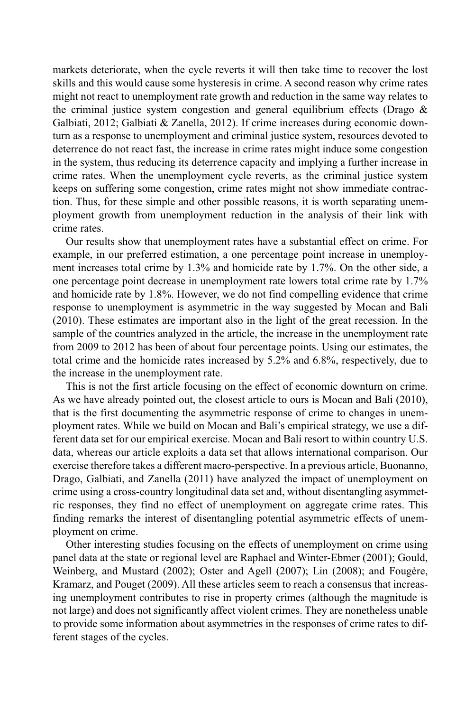markets deteriorate, when the cycle reverts it will then take time to recover the lost skills and this would cause some hysteresis in crime. A second reason why crime rates might not react to unemployment rate growth and reduction in the same way relates to the criminal justice system congestion and general equilibrium effects (Drago  $\&$ Galbiati, 2012; Galbiati & Zanella, 2012). If crime increases during economic downturn as a response to unemployment and criminal justice system, resources devoted to deterrence do not react fast, the increase in crime rates might induce some congestion in the system, thus reducing its deterrence capacity and implying a further increase in crime rates. When the unemployment cycle reverts, as the criminal justice system keeps on suffering some congestion, crime rates might not show immediate contraction. Thus, for these simple and other possible reasons, it is worth separating unemployment growth from unemployment reduction in the analysis of their link with crime rates.

Our results show that unemployment rates have a substantial effect on crime. For example, in our preferred estimation, a one percentage point increase in unemployment increases total crime by 1.3% and homicide rate by 1.7%. On the other side, a one percentage point decrease in unemployment rate lowers total crime rate by 1.7% and homicide rate by 1.8%. However, we do not find compelling evidence that crime response to unemployment is asymmetric in the way suggested by Mocan and Bali (2010). These estimates are important also in the light of the great recession. In the sample of the countries analyzed in the article, the increase in the unemployment rate from 2009 to 2012 has been of about four percentage points. Using our estimates, the total crime and the homicide rates increased by 5.2% and 6.8%, respectively, due to the increase in the unemployment rate.

This is not the first article focusing on the effect of economic downturn on crime. As we have already pointed out, the closest article to ours is Mocan and Bali (2010), that is the first documenting the asymmetric response of crime to changes in unemployment rates. While we build on Mocan and Bali's empirical strategy, we use a different data set for our empirical exercise. Mocan and Bali resort to within country U.S. data, whereas our article exploits a data set that allows international comparison. Our exercise therefore takes a different macro-perspective. In a previous article, Buonanno, Drago, Galbiati, and Zanella (2011) have analyzed the impact of unemployment on crime using a cross-country longitudinal data set and, without disentangling asymmetric responses, they find no effect of unemployment on aggregate crime rates. This finding remarks the interest of disentangling potential asymmetric effects of unemployment on crime.

Other interesting studies focusing on the effects of unemployment on crime using panel data at the state or regional level are Raphael and Winter-Ebmer (2001); Gould, Weinberg, and Mustard (2002); Oster and Agell (2007); Lin (2008); and Fougère, Kramarz, and Pouget (2009). All these articles seem to reach a consensus that increasing unemployment contributes to rise in property crimes (although the magnitude is not large) and does not significantly affect violent crimes. They are nonetheless unable to provide some information about asymmetries in the responses of crime rates to different stages of the cycles.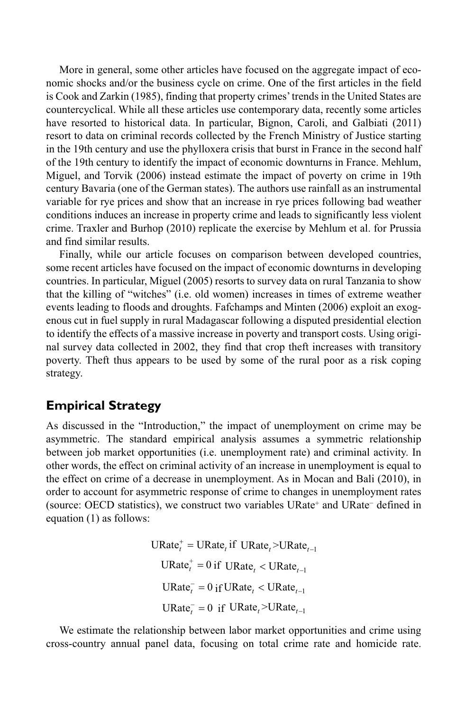More in general, some other articles have focused on the aggregate impact of economic shocks and/or the business cycle on crime. One of the first articles in the field is Cook and Zarkin (1985), finding that property crimes' trends in the United States are countercyclical. While all these articles use contemporary data, recently some articles have resorted to historical data. In particular, Bignon, Caroli, and Galbiati (2011) resort to data on criminal records collected by the French Ministry of Justice starting in the 19th century and use the phylloxera crisis that burst in France in the second half of the 19th century to identify the impact of economic downturns in France. Mehlum, Miguel, and Torvik (2006) instead estimate the impact of poverty on crime in 19th century Bavaria (one of the German states). The authors use rainfall as an instrumental variable for rye prices and show that an increase in rye prices following bad weather conditions induces an increase in property crime and leads to significantly less violent crime. Traxler and Burhop (2010) replicate the exercise by Mehlum et al. for Prussia and find similar results.

Finally, while our article focuses on comparison between developed countries, some recent articles have focused on the impact of economic downturns in developing countries. In particular, Miguel (2005) resorts to survey data on rural Tanzania to show that the killing of "witches" (i.e. old women) increases in times of extreme weather events leading to floods and droughts. Fafchamps and Minten (2006) exploit an exogenous cut in fuel supply in rural Madagascar following a disputed presidential election to identify the effects of a massive increase in poverty and transport costs. Using original survey data collected in 2002, they find that crop theft increases with transitory poverty. Theft thus appears to be used by some of the rural poor as a risk coping strategy.

# **Empirical Strategy**

As discussed in the "Introduction," the impact of unemployment on crime may be asymmetric. The standard empirical analysis assumes a symmetric relationship between job market opportunities (i.e. unemployment rate) and criminal activity. In other words, the effect on criminal activity of an increase in unemployment is equal to the effect on crime of a decrease in unemployment. As in Mocan and Bali (2010), in order to account for asymmetric response of crime to changes in unemployment rates (source: OECD statistics), we construct two variables URate+ and URate− defined in equation (1) as follows:

> $\text{URate}_{t}^{+} = \text{URate}_{t} \text{ if } \text{URate}_{t} > \text{URate}_{t-1}$  $\text{URate}_{t}^{+} = 0$  if  $\text{URate}_{t} < \text{URate}_{t-1}$  $\text{URate}_{t}^{-} = 0 \text{ if } \text{URate}_{t} < \text{URate}_{t-1}$  $URate<sub>t</sub><sup>-</sup> = 0$  if  $URate<sub>t</sub> > URate<sub>t-1</sub>$

We estimate the relationship between labor market opportunities and crime using cross-country annual panel data, focusing on total crime rate and homicide rate.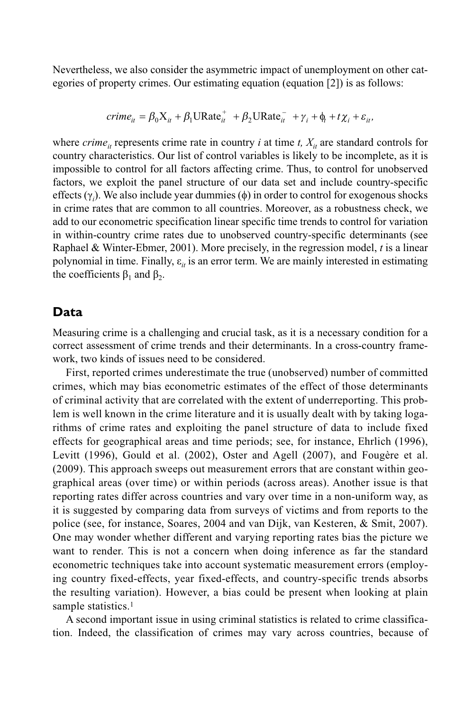Nevertheless, we also consider the asymmetric impact of unemployment on other categories of property crimes. Our estimating equation (equation [2]) is as follows:

$$
crime_{it} = \beta_0 X_{it} + \beta_1 \text{URate}_{it}^+ + \beta_2 \text{URate}_{it}^- + \gamma_i + \phi_t + t \chi_i + \varepsilon_{it},
$$

where *crime<sub>it</sub>* represents crime rate in country *i* at time *t*,  $X_i$  are standard controls for country characteristics. Our list of control variables is likely to be incomplete, as it is impossible to control for all factors affecting crime. Thus, to control for unobserved factors, we exploit the panel structure of our data set and include country-specific effects (γ*<sup>i</sup>* ). We also include year dummies (φ) in order to control for exogenous shocks in crime rates that are common to all countries. Moreover, as a robustness check, we add to our econometric specification linear specific time trends to control for variation in within-country crime rates due to unobserved country-specific determinants (see Raphael & Winter-Ebmer, 2001). More precisely, in the regression model, *t* is a linear polynomial in time. Finally,  $\varepsilon_{it}$  is an error term. We are mainly interested in estimating the coefficients  $β_1$  and  $β_2$ .

## **Data**

Measuring crime is a challenging and crucial task, as it is a necessary condition for a correct assessment of crime trends and their determinants. In a cross-country framework, two kinds of issues need to be considered.

First, reported crimes underestimate the true (unobserved) number of committed crimes, which may bias econometric estimates of the effect of those determinants of criminal activity that are correlated with the extent of underreporting. This problem is well known in the crime literature and it is usually dealt with by taking logarithms of crime rates and exploiting the panel structure of data to include fixed effects for geographical areas and time periods; see, for instance, Ehrlich (1996), Levitt (1996), Gould et al. (2002), Oster and Agell (2007), and Fougère et al. (2009). This approach sweeps out measurement errors that are constant within geographical areas (over time) or within periods (across areas). Another issue is that reporting rates differ across countries and vary over time in a non-uniform way, as it is suggested by comparing data from surveys of victims and from reports to the police (see, for instance, Soares, 2004 and van Dijk, van Kesteren, & Smit, 2007). One may wonder whether different and varying reporting rates bias the picture we want to render. This is not a concern when doing inference as far the standard econometric techniques take into account systematic measurement errors (employing country fixed-effects, year fixed-effects, and country-specific trends absorbs the resulting variation). However, a bias could be present when looking at plain sample statistics.<sup>1</sup>

A second important issue in using criminal statistics is related to crime classification. Indeed, the classification of crimes may vary across countries, because of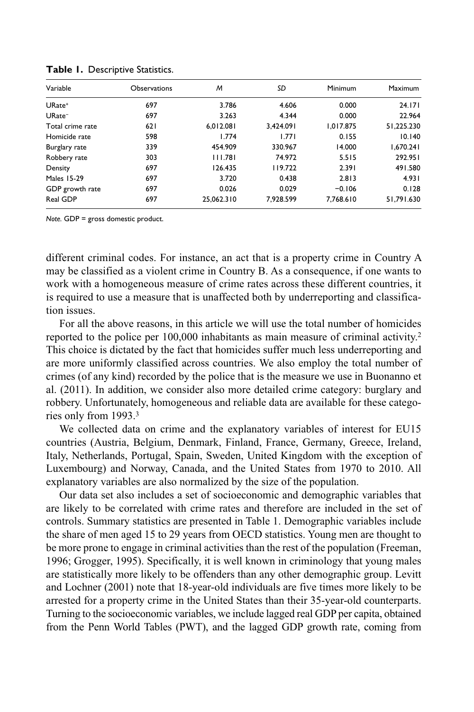| Variable           | <b>Observations</b> | M          | SD        | Minimum   | <b>Maximum</b> |
|--------------------|---------------------|------------|-----------|-----------|----------------|
| URate <sup>+</sup> | 697                 | 3.786      | 4.606     | 0.000     | 24.171         |
| URate <sup>-</sup> | 697                 | 3.263      | 4.344     | 0.000     | 22.964         |
| Total crime rate   | 621                 | 6.012.081  | 3.424.091 | 1.017.875 | 51,225.230     |
| Homicide rate      | 598                 | 1.774      | 1.771     | 0.155     | 10.140         |
| Burglary rate      | 339                 | 454.909    | 330.967   | 14.000    | 1,670.241      |
| Robbery rate       | 303                 | 111.781    | 74.972    | 5.515     | 292.951        |
| Density            | 697                 | 126.435    | 119.722   | 2.391     | 491.580        |
| <b>Males 15-29</b> | 697                 | 3.720      | 0.438     | 2.813     | 4.931          |
| GDP growth rate    | 697                 | 0.026      | 0.029     | $-0.106$  | 0.128          |
| Real GDP           | 697                 | 25.062.310 | 7.928.599 | 7.768.610 | 51.791.630     |

**Table 1.** Descriptive Statistics.

*Note.* GDP = gross domestic product.

different criminal codes. For instance, an act that is a property crime in Country A may be classified as a violent crime in Country B. As a consequence, if one wants to work with a homogeneous measure of crime rates across these different countries, it is required to use a measure that is unaffected both by underreporting and classification issues.

For all the above reasons, in this article we will use the total number of homicides reported to the police per 100,000 inhabitants as main measure of criminal activity.2 This choice is dictated by the fact that homicides suffer much less underreporting and are more uniformly classified across countries. We also employ the total number of crimes (of any kind) recorded by the police that is the measure we use in Buonanno et al. (2011). In addition, we consider also more detailed crime category: burglary and robbery. Unfortunately, homogeneous and reliable data are available for these categories only from 1993.3

We collected data on crime and the explanatory variables of interest for EU15 countries (Austria, Belgium, Denmark, Finland, France, Germany, Greece, Ireland, Italy, Netherlands, Portugal, Spain, Sweden, United Kingdom with the exception of Luxembourg) and Norway, Canada, and the United States from 1970 to 2010. All explanatory variables are also normalized by the size of the population.

Our data set also includes a set of socioeconomic and demographic variables that are likely to be correlated with crime rates and therefore are included in the set of controls. Summary statistics are presented in Table 1. Demographic variables include the share of men aged 15 to 29 years from OECD statistics. Young men are thought to be more prone to engage in criminal activities than the rest of the population (Freeman, 1996; Grogger, 1995). Specifically, it is well known in criminology that young males are statistically more likely to be offenders than any other demographic group. Levitt and Lochner (2001) note that 18-year-old individuals are five times more likely to be arrested for a property crime in the United States than their 35-year-old counterparts. Turning to the socioeconomic variables, we include lagged real GDP per capita, obtained from the Penn World Tables (PWT), and the lagged GDP growth rate, coming from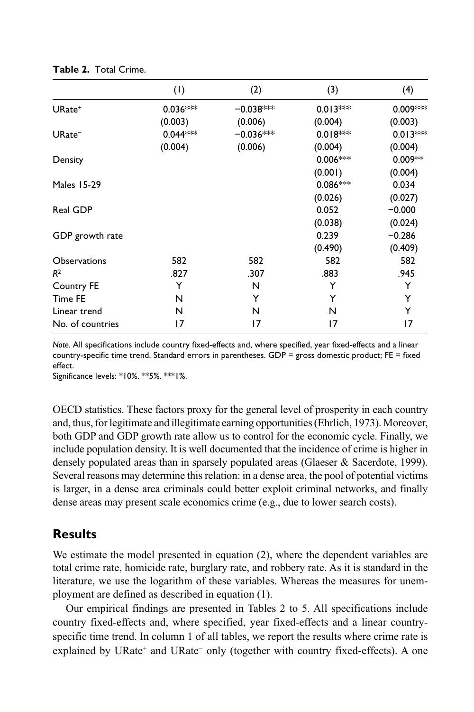|                     | (1)        | (2)         | (3)        | (4)        |
|---------------------|------------|-------------|------------|------------|
| $URate+$            | $0.036***$ | $-0.038***$ | $0.013***$ | $0.009***$ |
|                     | (0.003)    | (0.006)     | (0.004)    | (0.003)    |
| $URate^-$           | $0.044***$ | $-0.036***$ | $0.018***$ | $0.013***$ |
|                     | (0.004)    | (0.006)     | (0.004)    | (0.004)    |
| Density             |            |             | $0.006***$ | $0.009**$  |
|                     |            |             | (0.001)    | (0.004)    |
| <b>Males 15-29</b>  |            |             | $0.086***$ | 0.034      |
|                     |            |             | (0.026)    | (0.027)    |
| Real GDP            |            |             | 0.052      | $-0.000$   |
|                     |            |             | (0.038)    | (0.024)    |
| GDP growth rate     |            |             | 0.239      | $-0.286$   |
|                     |            |             | (0.490)    | (0.409)    |
| <b>Observations</b> | 582        | 582         | 582        | 582        |
| R <sup>2</sup>      | .827       | .307        | .883       | .945       |
| Country FE          | Y          | N           | Y          | Y          |
| Time FE             | N          | Y           | Y          | Y          |
| Linear trend        | N          | N           | N          | Y          |
| No. of countries    | 17         | 17          | 17         | 17         |

**Table 2.** Total Crime.

Significance levels: \*10%. \*\*5%. \*\*\*1%.

OECD statistics. These factors proxy for the general level of prosperity in each country and, thus, for legitimate and illegitimate earning opportunities (Ehrlich, 1973). Moreover, both GDP and GDP growth rate allow us to control for the economic cycle. Finally, we include population density. It is well documented that the incidence of crime is higher in densely populated areas than in sparsely populated areas (Glaeser & Sacerdote, 1999). Several reasons may determine this relation: in a dense area, the pool of potential victims is larger, in a dense area criminals could better exploit criminal networks, and finally dense areas may present scale economics crime (e.g., due to lower search costs).

## **Results**

We estimate the model presented in equation (2), where the dependent variables are total crime rate, homicide rate, burglary rate, and robbery rate. As it is standard in the literature, we use the logarithm of these variables. Whereas the measures for unemployment are defined as described in equation (1).

Our empirical findings are presented in Tables 2 to 5. All specifications include country fixed-effects and, where specified, year fixed-effects and a linear countryspecific time trend. In column 1 of all tables, we report the results where crime rate is explained by URate<sup>+</sup> and URate<sup>−</sup> only (together with country fixed-effects). A one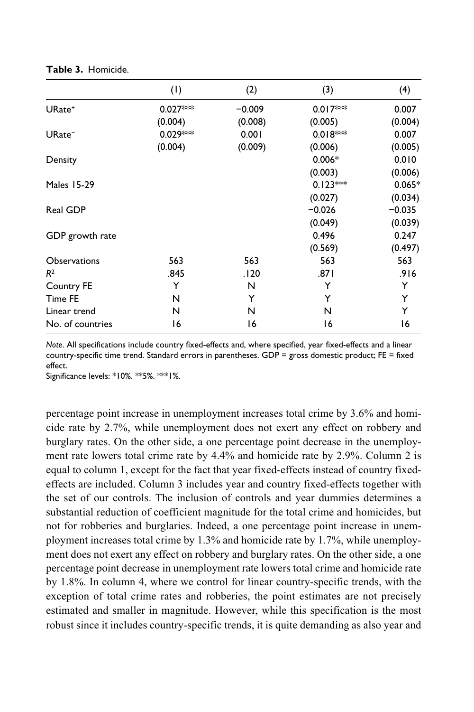|                     | (1)        | (2)      | (3)        | (4)      |
|---------------------|------------|----------|------------|----------|
| $URate+$            | $0.027***$ | $-0.009$ | $0.017***$ | 0.007    |
|                     | (0.004)    | (0.008)  | (0.005)    | (0.004)  |
| $URate^-$           | $0.029***$ | 0.001    | $0.018***$ | 0.007    |
|                     | (0.004)    | (0.009)  | (0.006)    | (0.005)  |
| Density             |            |          | $0.006*$   | 0.010    |
|                     |            |          | (0.003)    | (0.006)  |
| <b>Males 15-29</b>  |            |          | $0.123***$ | $0.065*$ |
|                     |            |          | (0.027)    | (0.034)  |
| Real GDP            |            |          | $-0.026$   | $-0.035$ |
|                     |            |          | (0.049)    | (0.039)  |
| GDP growth rate     |            |          | 0.496      | 0.247    |
|                     |            |          | (0.569)    | (0.497)  |
| <b>Observations</b> | 563        | 563      | 563        | 563      |
| R <sup>2</sup>      | .845       | .120     | .871       | .916     |
| Country FE          | Y          | N        | Y          | Y        |
| Time FE             | N          | Y        | Y          | Y        |
| Linear trend        | N          | N        | N          | Y        |
| No. of countries    | 16         | 16       | 16         | 16       |

**Table 3.** Homicide.

Significance levels: \*10%. \*\*5%. \*\*\*1%.

percentage point increase in unemployment increases total crime by 3.6% and homicide rate by 2.7%, while unemployment does not exert any effect on robbery and burglary rates. On the other side, a one percentage point decrease in the unemployment rate lowers total crime rate by 4.4% and homicide rate by 2.9%. Column 2 is equal to column 1, except for the fact that year fixed-effects instead of country fixedeffects are included. Column 3 includes year and country fixed-effects together with the set of our controls. The inclusion of controls and year dummies determines a substantial reduction of coefficient magnitude for the total crime and homicides, but not for robberies and burglaries. Indeed, a one percentage point increase in unemployment increases total crime by 1.3% and homicide rate by 1.7%, while unemployment does not exert any effect on robbery and burglary rates. On the other side, a one percentage point decrease in unemployment rate lowers total crime and homicide rate by 1.8%. In column 4, where we control for linear country-specific trends, with the exception of total crime rates and robberies, the point estimates are not precisely estimated and smaller in magnitude. However, while this specification is the most robust since it includes country-specific trends, it is quite demanding as also year and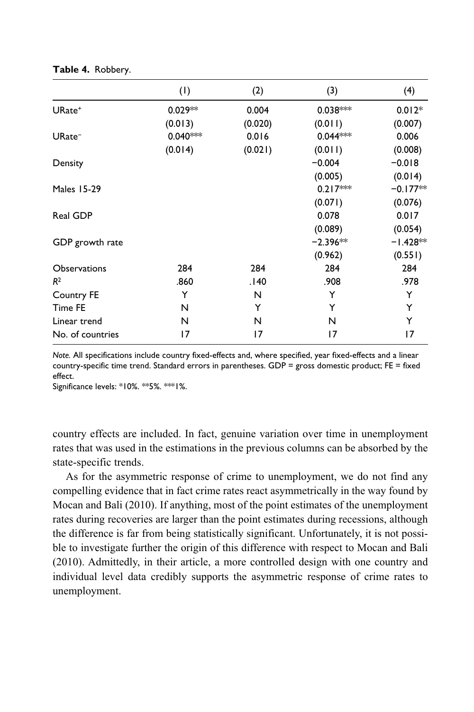|                     | (1)        | (2)     | (3)        | (4)        |
|---------------------|------------|---------|------------|------------|
| URate <sup>+</sup>  | $0.029**$  | 0.004   | $0.038***$ | $0.012*$   |
|                     | (0.013)    | (0.020) | (0.011)    | (0.007)    |
| $URate^-$           | $0.040***$ | 0.016   | $0.044***$ | 0.006      |
|                     | (0.014)    | (0.021) | (0.011)    | (0.008)    |
| Density             |            |         | $-0.004$   | $-0.018$   |
|                     |            |         | (0.005)    | (0.014)    |
| <b>Males 15-29</b>  |            |         | $0.217***$ | $-0.177**$ |
|                     |            |         | (0.071)    | (0.076)    |
| Real GDP            |            |         | 0.078      | 0.017      |
|                     |            |         | (0.089)    | (0.054)    |
| GDP growth rate     |            |         | $-2.396**$ | $-1.428**$ |
|                     |            |         | (0.962)    | (0.551)    |
| <b>Observations</b> | 284        | 284     | 284        | 284        |
| R <sup>2</sup>      | .860       | .140    | .908       | .978       |
| Country FE          | Y          | N       | Y          | Y          |
| Time FE             | N          | Y       | Y          | Y          |
| Linear trend        | N          | N       | N          | Y          |
| No. of countries    | 17         | 17      | 17         | 17         |

**Table 4.** Robbery.

Significance levels: \*10%. \*\*5%. \*\*\*1%.

country effects are included. In fact, genuine variation over time in unemployment rates that was used in the estimations in the previous columns can be absorbed by the state-specific trends.

As for the asymmetric response of crime to unemployment, we do not find any compelling evidence that in fact crime rates react asymmetrically in the way found by Mocan and Bali (2010). If anything, most of the point estimates of the unemployment rates during recoveries are larger than the point estimates during recessions, although the difference is far from being statistically significant. Unfortunately, it is not possible to investigate further the origin of this difference with respect to Mocan and Bali (2010). Admittedly, in their article, a more controlled design with one country and individual level data credibly supports the asymmetric response of crime rates to unemployment.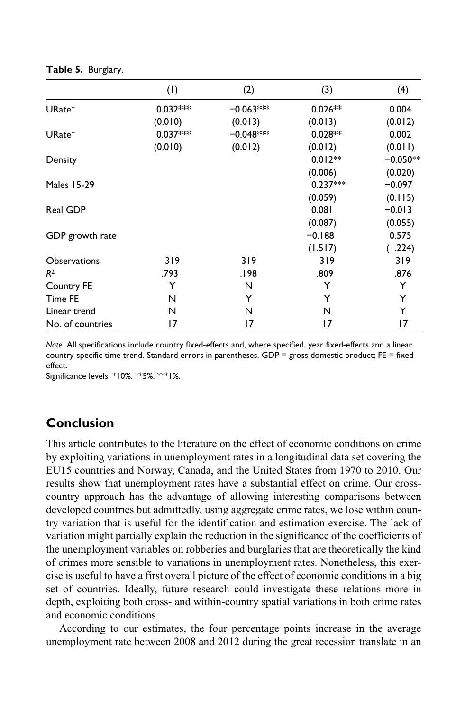|                     | (1)        | (2)         | (3)        | (4)        |
|---------------------|------------|-------------|------------|------------|
| $URate+$            | $0.032***$ | $-0.063***$ | $0.026**$  | 0.004      |
|                     | (0.010)    | (0.013)     | (0.013)    | (0.012)    |
| $URate^-$           | $0.037***$ | $-0.048***$ | $0.028**$  | 0.002      |
|                     | (0.010)    | (0.012)     | (0.012)    | (0.011)    |
| Density             |            |             | $0.012**$  | $-0.050**$ |
|                     |            |             | (0.006)    | (0.020)    |
| <b>Males 15-29</b>  |            |             | $0.237***$ | $-0.097$   |
|                     |            |             | (0.059)    | (0.115)    |
| Real GDP            |            |             | 0.081      | $-0.013$   |
|                     |            |             | (0.087)    | (0.055)    |
| GDP growth rate     |            |             | $-0.188$   | 0.575      |
|                     |            |             | (1.517)    | (1.224)    |
| <b>Observations</b> | 319        | 319         | 319        | 319        |
| R <sup>2</sup>      | .793       | 198.        | .809       | .876       |
| Country FE          | Y          | N           | Y          | Y          |
| Time FE             | N          | Y           | Y          | Y          |
| Linear trend        | N          | N           | N          | Y          |
| No. of countries    | 17         | 17          | 17         | 17         |

**Table 5.** Burglary.

Significance levels: \*10%. \*\*5%. \*\*\*1%.

## **Conclusion**

This article contributes to the literature on the effect of economic conditions on crime by exploiting variations in unemployment rates in a longitudinal data set covering the EU15 countries and Norway, Canada, and the United States from 1970 to 2010. Our results show that unemployment rates have a substantial effect on crime. Our crosscountry approach has the advantage of allowing interesting comparisons between developed countries but admittedly, using aggregate crime rates, we lose within country variation that is useful for the identification and estimation exercise. The lack of variation might partially explain the reduction in the significance of the coefficients of the unemployment variables on robberies and burglaries that are theoretically the kind of crimes more sensible to variations in unemployment rates. Nonetheless, this exercise is useful to have a first overall picture of the effect of economic conditions in a big set of countries. Ideally, future research could investigate these relations more in depth, exploiting both cross- and within-country spatial variations in both crime rates and economic conditions.

According to our estimates, the four percentage points increase in the average unemployment rate between 2008 and 2012 during the great recession translate in an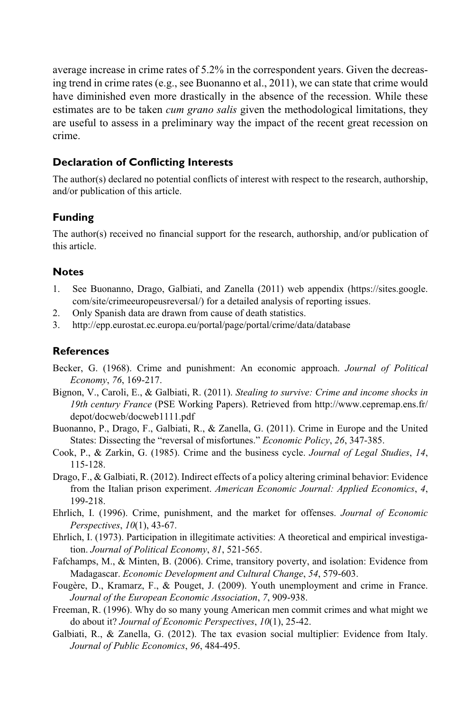average increase in crime rates of 5.2% in the correspondent years. Given the decreasing trend in crime rates (e.g., see Buonanno et al., 2011), we can state that crime would have diminished even more drastically in the absence of the recession. While these estimates are to be taken *cum grano salis* given the methodological limitations, they are useful to assess in a preliminary way the impact of the recent great recession on crime.

#### **Declaration of Conflicting Interests**

The author(s) declared no potential conflicts of interest with respect to the research, authorship, and/or publication of this article.

## **Funding**

The author(s) received no financial support for the research, authorship, and/or publication of this article.

#### **Notes**

- 1. See Buonanno, Drago, Galbiati, and Zanella (2011) web appendix (https://sites.google. com/site/crimeeuropeusreversal/) for a detailed analysis of reporting issues.
- 2. Only Spanish data are drawn from cause of death statistics.
- 3. http://epp.eurostat.ec.europa.eu/portal/page/portal/crime/data/database

#### **References**

- Becker, G. (1968). Crime and punishment: An economic approach. *Journal of Political Economy*, *76*, 169-217.
- Bignon, V., Caroli, E., & Galbiati, R. (2011). *Stealing to survive: Crime and income shocks in 19th century France* [\(PSE Working Papers\). Retrieved from http://www.cepremap.ens.fr/](http://www.cepremap.ens.fr/depot/docweb/docweb1111.pdf) depot/docweb/docweb1111.pdf
- Buonanno, P., Drago, F., Galbiati, R., & Zanella, G. (2011). Crime in Europe and the United States: Dissecting the "reversal of misfortunes." *Economic Policy*, *26*, 347-385.
- Cook, P., & Zarkin, G. (1985). Crime and the business cycle. *Journal of Legal Studies*, *14*, 115-128.
- Drago, F., & Galbiati, R. (2012). Indirect effects of a policy altering criminal behavior: Evidence from the Italian prison experiment. *American Economic Journal: Applied Economics*, *4*, 199-218.
- Ehrlich, I. (1996). Crime, punishment, and the market for offenses. *Journal of Economic Perspectives*, *10*(1), 43-67.
- Ehrlich, I. (1973). Participation in illegitimate activities: A theoretical and empirical investigation. *Journal of Political Economy*, *81*, 521-565.
- Fafchamps, M., & Minten, B. (2006). Crime, transitory poverty, and isolation: Evidence from Madagascar. *Economic Development and Cultural Change*, *54*, 579-603.
- Fougère, D., Kramarz, F., & Pouget, J. (2009). Youth unemployment and crime in France. *Journal of the European Economic Association*, *7*, 909-938.
- Freeman, R. (1996). Why do so many young American men commit crimes and what might we do about it? *Journal of Economic Perspectives*, *10*(1), 25-42.
- Galbiati, R., & Zanella, G. (2012). The tax evasion social multiplier: Evidence from Italy. *Journal of Public Economics*, *96*, 484-495.